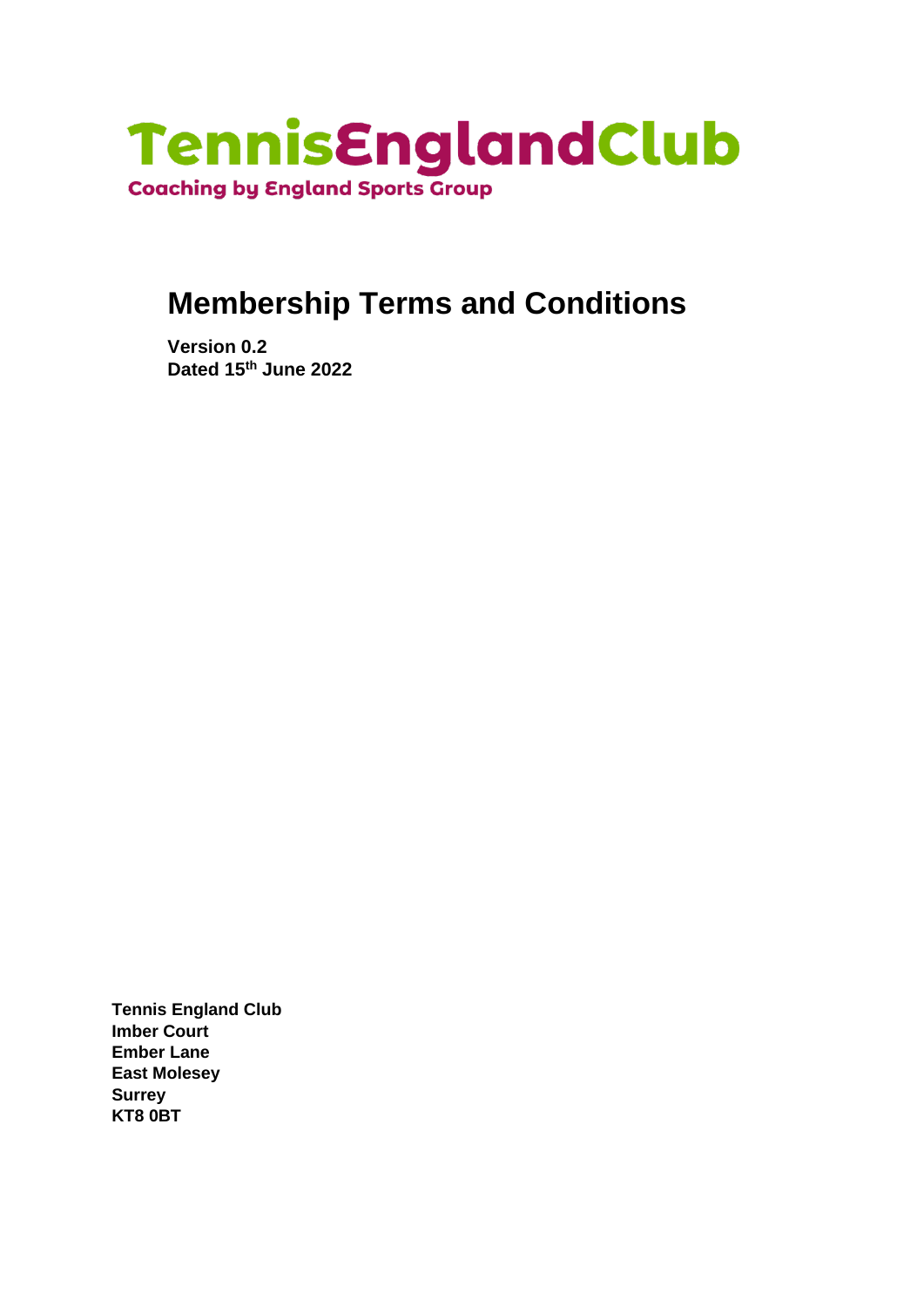

# **Membership Terms and Conditions**

**Version 0.2 Dated 15th June 2022** 

**Tennis England Club Imber Court Ember Lane East Molesey Surrey KT8 0BT**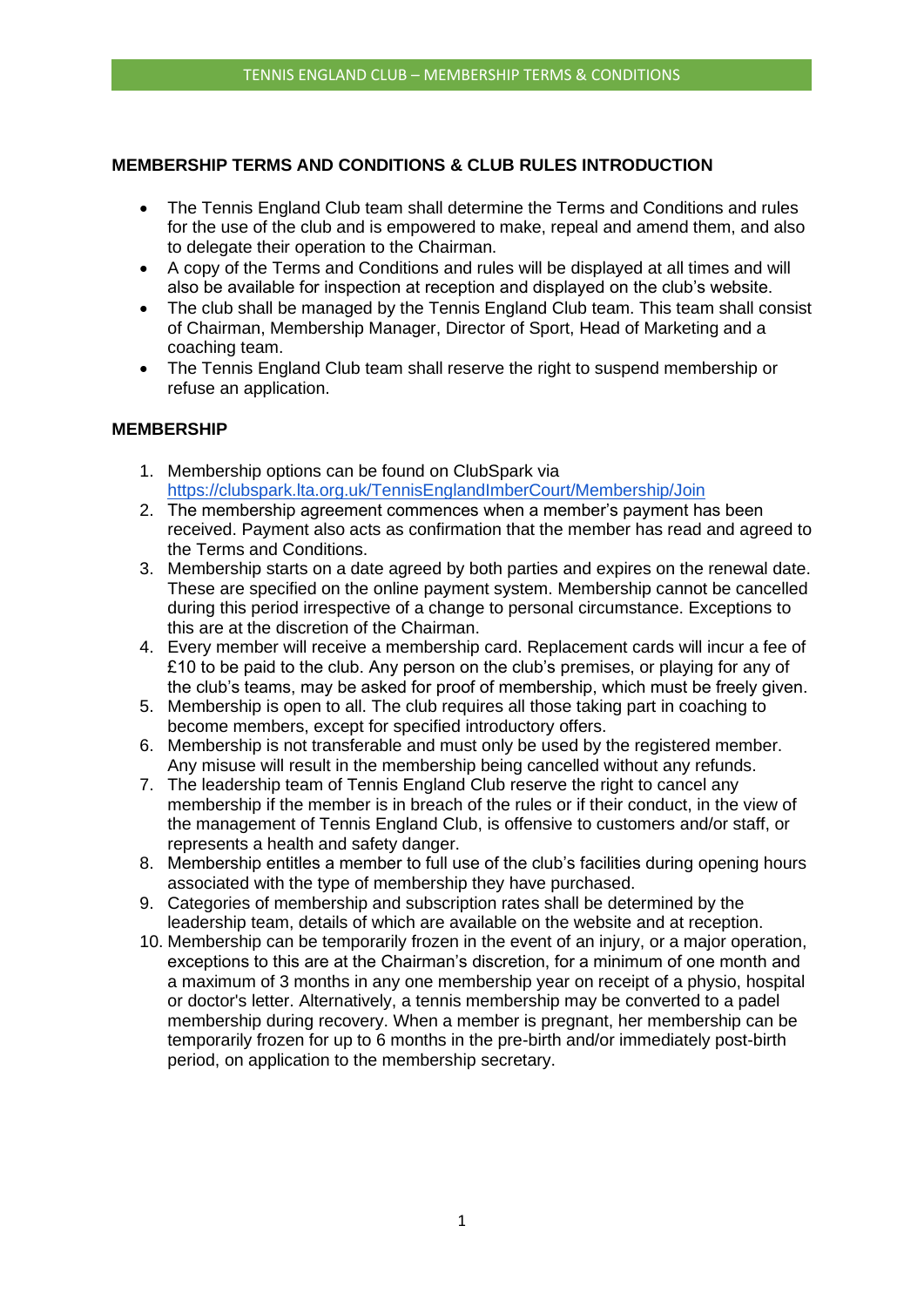# **MEMBERSHIP TERMS AND CONDITIONS & CLUB RULES INTRODUCTION**

- The Tennis England Club team shall determine the Terms and Conditions and rules for the use of the club and is empowered to make, repeal and amend them, and also to delegate their operation to the Chairman.
- A copy of the Terms and Conditions and rules will be displayed at all times and will also be available for inspection at reception and displayed on the club's website.
- The club shall be managed by the Tennis England Club team. This team shall consist of Chairman, Membership Manager, Director of Sport, Head of Marketing and a coaching team.
- The Tennis England Club team shall reserve the right to suspend membership or refuse an application.

# **MEMBERSHIP**

- 1. Membership options can be found on ClubSpark via <https://clubspark.lta.org.uk/TennisEnglandImberCourt/Membership/Join>
- 2. The membership agreement commences when a member's payment has been received. Payment also acts as confirmation that the member has read and agreed to the Terms and Conditions.
- 3. Membership starts on a date agreed by both parties and expires on the renewal date. These are specified on the online payment system. Membership cannot be cancelled during this period irrespective of a change to personal circumstance. Exceptions to this are at the discretion of the Chairman.
- 4. Every member will receive a membership card. Replacement cards will incur a fee of £10 to be paid to the club. Any person on the club's premises, or playing for any of the club's teams, may be asked for proof of membership, which must be freely given.
- 5. Membership is open to all. The club requires all those taking part in coaching to become members, except for specified introductory offers.
- 6. Membership is not transferable and must only be used by the registered member. Any misuse will result in the membership being cancelled without any refunds.
- 7. The leadership team of Tennis England Club reserve the right to cancel any membership if the member is in breach of the rules or if their conduct, in the view of the management of Tennis England Club, is offensive to customers and/or staff, or represents a health and safety danger.
- 8. Membership entitles a member to full use of the club's facilities during opening hours associated with the type of membership they have purchased.
- 9. Categories of membership and subscription rates shall be determined by the leadership team, details of which are available on the website and at reception.
- 10. Membership can be temporarily frozen in the event of an injury, or a major operation, exceptions to this are at the Chairman's discretion, for a minimum of one month and a maximum of 3 months in any one membership year on receipt of a physio, hospital or doctor's letter. Alternatively, a tennis membership may be converted to a padel membership during recovery. When a member is pregnant, her membership can be temporarily frozen for up to 6 months in the pre-birth and/or immediately post-birth period, on application to the membership secretary.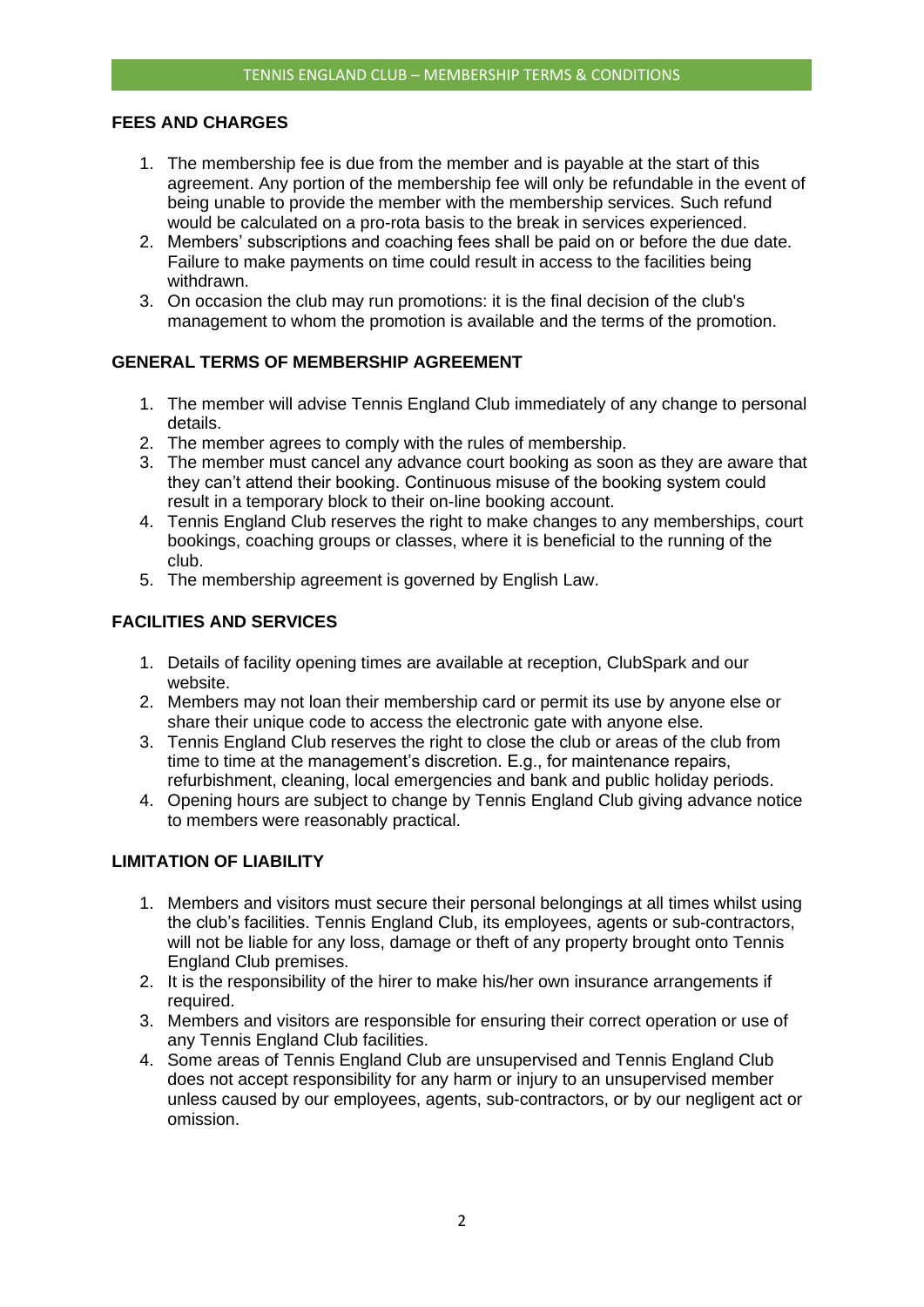#### **FEES AND CHARGES**

- 1. The membership fee is due from the member and is payable at the start of this agreement. Any portion of the membership fee will only be refundable in the event of being unable to provide the member with the membership services. Such refund would be calculated on a pro-rota basis to the break in services experienced.
- 2. Members' subscriptions and coaching fees shall be paid on or before the due date. Failure to make payments on time could result in access to the facilities being withdrawn.
- 3. On occasion the club may run promotions: it is the final decision of the club's management to whom the promotion is available and the terms of the promotion.

## **GENERAL TERMS OF MEMBERSHIP AGREEMENT**

- 1. The member will advise Tennis England Club immediately of any change to personal details.
- 2. The member agrees to comply with the rules of membership.
- 3. The member must cancel any advance court booking as soon as they are aware that they can't attend their booking. Continuous misuse of the booking system could result in a temporary block to their on-line booking account.
- 4. Tennis England Club reserves the right to make changes to any memberships, court bookings, coaching groups or classes, where it is beneficial to the running of the club.
- 5. The membership agreement is governed by English Law.

## **FACILITIES AND SERVICES**

- 1. Details of facility opening times are available at reception, ClubSpark and our website.
- 2. Members may not loan their membership card or permit its use by anyone else or share their unique code to access the electronic gate with anyone else.
- 3. Tennis England Club reserves the right to close the club or areas of the club from time to time at the management's discretion. E.g., for maintenance repairs, refurbishment, cleaning, local emergencies and bank and public holiday periods.
- 4. Opening hours are subject to change by Tennis England Club giving advance notice to members were reasonably practical.

## **LIMITATION OF LIABILITY**

- 1. Members and visitors must secure their personal belongings at all times whilst using the club's facilities. Tennis England Club, its employees, agents or sub-contractors, will not be liable for any loss, damage or theft of any property brought onto Tennis England Club premises.
- 2. It is the responsibility of the hirer to make his/her own insurance arrangements if required.
- 3. Members and visitors are responsible for ensuring their correct operation or use of any Tennis England Club facilities.
- 4. Some areas of Tennis England Club are unsupervised and Tennis England Club does not accept responsibility for any harm or injury to an unsupervised member unless caused by our employees, agents, sub-contractors, or by our negligent act or omission.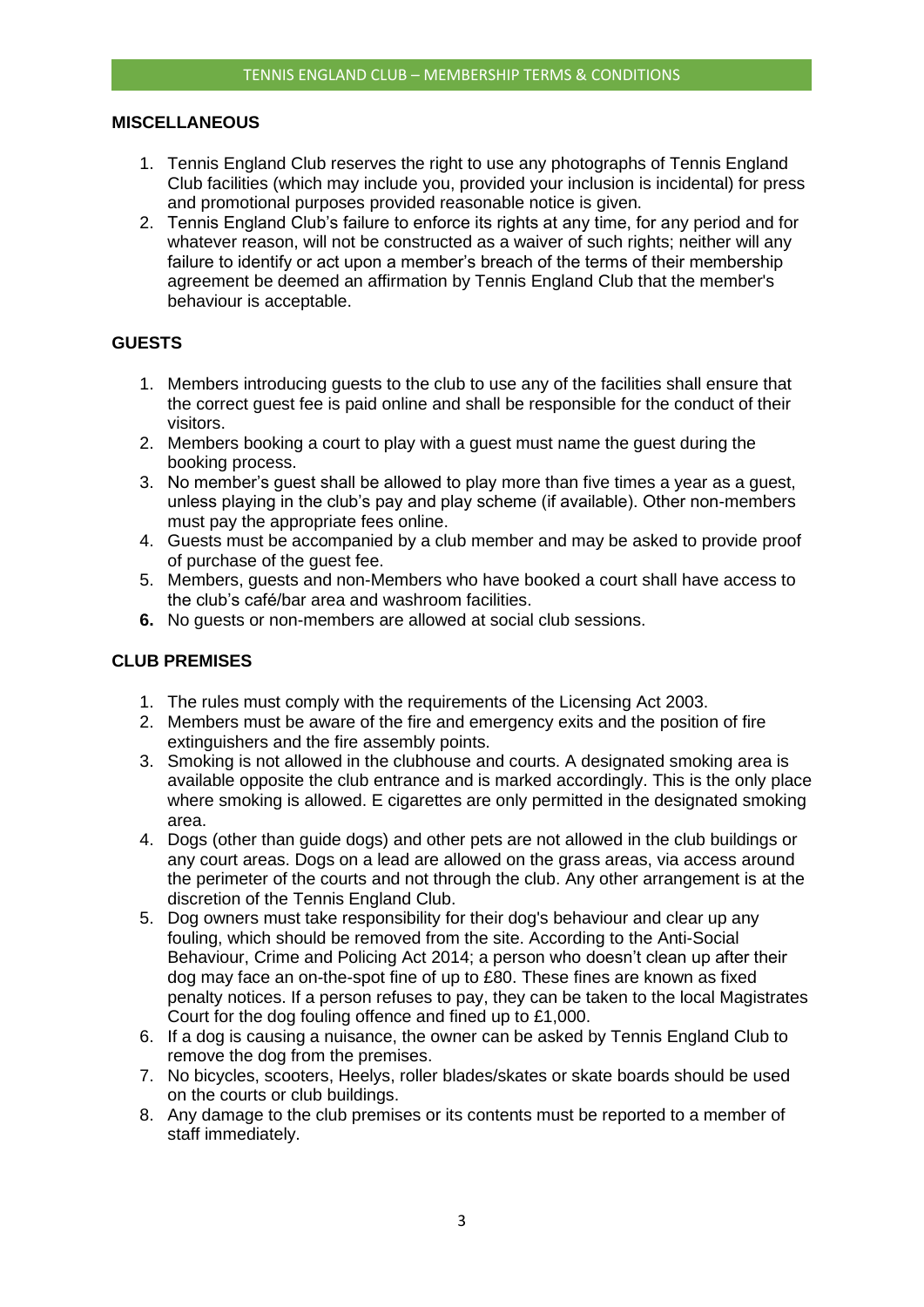#### **MISCELLANEOUS**

- 1. Tennis England Club reserves the right to use any photographs of Tennis England Club facilities (which may include you, provided your inclusion is incidental) for press and promotional purposes provided reasonable notice is given.
- 2. Tennis England Club's failure to enforce its rights at any time, for any period and for whatever reason, will not be constructed as a waiver of such rights; neither will any failure to identify or act upon a member's breach of the terms of their membership agreement be deemed an affirmation by Tennis England Club that the member's behaviour is acceptable.

# **GUESTS**

- 1. Members introducing guests to the club to use any of the facilities shall ensure that the correct guest fee is paid online and shall be responsible for the conduct of their visitors.
- 2. Members booking a court to play with a guest must name the guest during the booking process.
- 3. No member's guest shall be allowed to play more than five times a year as a guest, unless playing in the club's pay and play scheme (if available). Other non-members must pay the appropriate fees online.
- 4. Guests must be accompanied by a club member and may be asked to provide proof of purchase of the guest fee.
- 5. Members, guests and non-Members who have booked a court shall have access to the club's café/bar area and washroom facilities.
- **6.** No guests or non-members are allowed at social club sessions.

## **CLUB PREMISES**

- 1. The rules must comply with the requirements of the Licensing Act 2003.
- 2. Members must be aware of the fire and emergency exits and the position of fire extinguishers and the fire assembly points.
- 3. Smoking is not allowed in the clubhouse and courts. A designated smoking area is available opposite the club entrance and is marked accordingly. This is the only place where smoking is allowed. E cigarettes are only permitted in the designated smoking area.
- 4. Dogs (other than guide dogs) and other pets are not allowed in the club buildings or any court areas. Dogs on a lead are allowed on the grass areas, via access around the perimeter of the courts and not through the club. Any other arrangement is at the discretion of the Tennis England Club.
- 5. Dog owners must take responsibility for their dog's behaviour and clear up any fouling, which should be removed from the site. According to the Anti-Social Behaviour, Crime and Policing Act 2014; a person who doesn't clean up after their dog may face an on-the-spot fine of up to £80. These fines are known as fixed penalty notices. If a person refuses to pay, they can be taken to the local Magistrates Court for the dog fouling offence and fined up to £1,000.
- 6. If a dog is causing a nuisance, the owner can be asked by Tennis England Club to remove the dog from the premises.
- 7. No bicycles, scooters, Heelys, roller blades/skates or skate boards should be used on the courts or club buildings.
- 8. Any damage to the club premises or its contents must be reported to a member of staff immediately.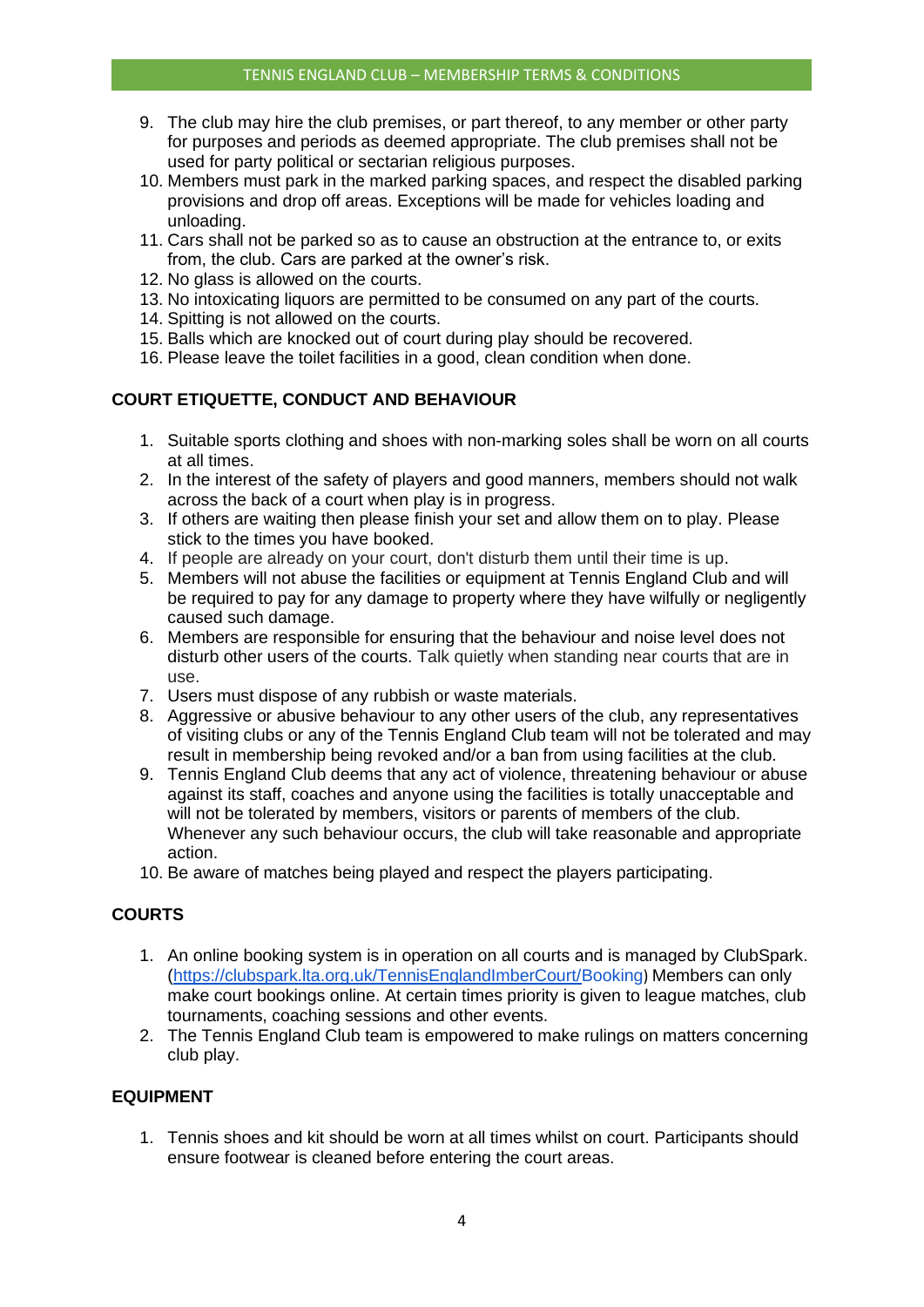- 9. The club may hire the club premises, or part thereof, to any member or other party for purposes and periods as deemed appropriate. The club premises shall not be used for party political or sectarian religious purposes.
- 10. Members must park in the marked parking spaces, and respect the disabled parking provisions and drop off areas. Exceptions will be made for vehicles loading and unloading.
- 11. Cars shall not be parked so as to cause an obstruction at the entrance to, or exits from, the club. Cars are parked at the owner's risk.
- 12. No glass is allowed on the courts.
- 13. No intoxicating liquors are permitted to be consumed on any part of the courts.
- 14. Spitting is not allowed on the courts.
- 15. Balls which are knocked out of court during play should be recovered.
- 16. Please leave the toilet facilities in a good, clean condition when done.

# **COURT ETIQUETTE, CONDUCT AND BEHAVIOUR**

- 1. Suitable sports clothing and shoes with non-marking soles shall be worn on all courts at all times.
- 2. In the interest of the safety of players and good manners, members should not walk across the back of a court when play is in progress.
- 3. If others are waiting then please finish your set and allow them on to play. Please stick to the times you have booked.
- 4. If people are already on your court, don't disturb them until their time is up.
- 5. Members will not abuse the facilities or equipment at Tennis England Club and will be required to pay for any damage to property where they have wilfully or negligently caused such damage.
- 6. Members are responsible for ensuring that the behaviour and noise level does not disturb other users of the courts. Talk quietly when standing near courts that are in use.
- 7. Users must dispose of any rubbish or waste materials.
- 8. Aggressive or abusive behaviour to any other users of the club, any representatives of visiting clubs or any of the Tennis England Club team will not be tolerated and may result in membership being revoked and/or a ban from using facilities at the club.
- 9. Tennis England Club deems that any act of violence, threatening behaviour or abuse against its staff, coaches and anyone using the facilities is totally unacceptable and will not be tolerated by members, visitors or parents of members of the club. Whenever any such behaviour occurs, the club will take reasonable and appropriate action.
- 10. Be aware of matches being played and respect the players participating.

## **COURTS**

- 1. An online booking system is in operation on all courts and is managed by ClubSpark. [\(https://clubspark.lta.org.uk/TennisEnglandImberCourt/Booking](https://clubspark.lta.org.uk/TennisEnglandEastMolesey/Booking/)) Members can only make court bookings online. At certain times priority is given to league matches, club tournaments, coaching sessions and other events.
- 2. The Tennis England Club team is empowered to make rulings on matters concerning club play.

## **EQUIPMENT**

1. Tennis shoes and kit should be worn at all times whilst on court. Participants should ensure footwear is cleaned before entering the court areas.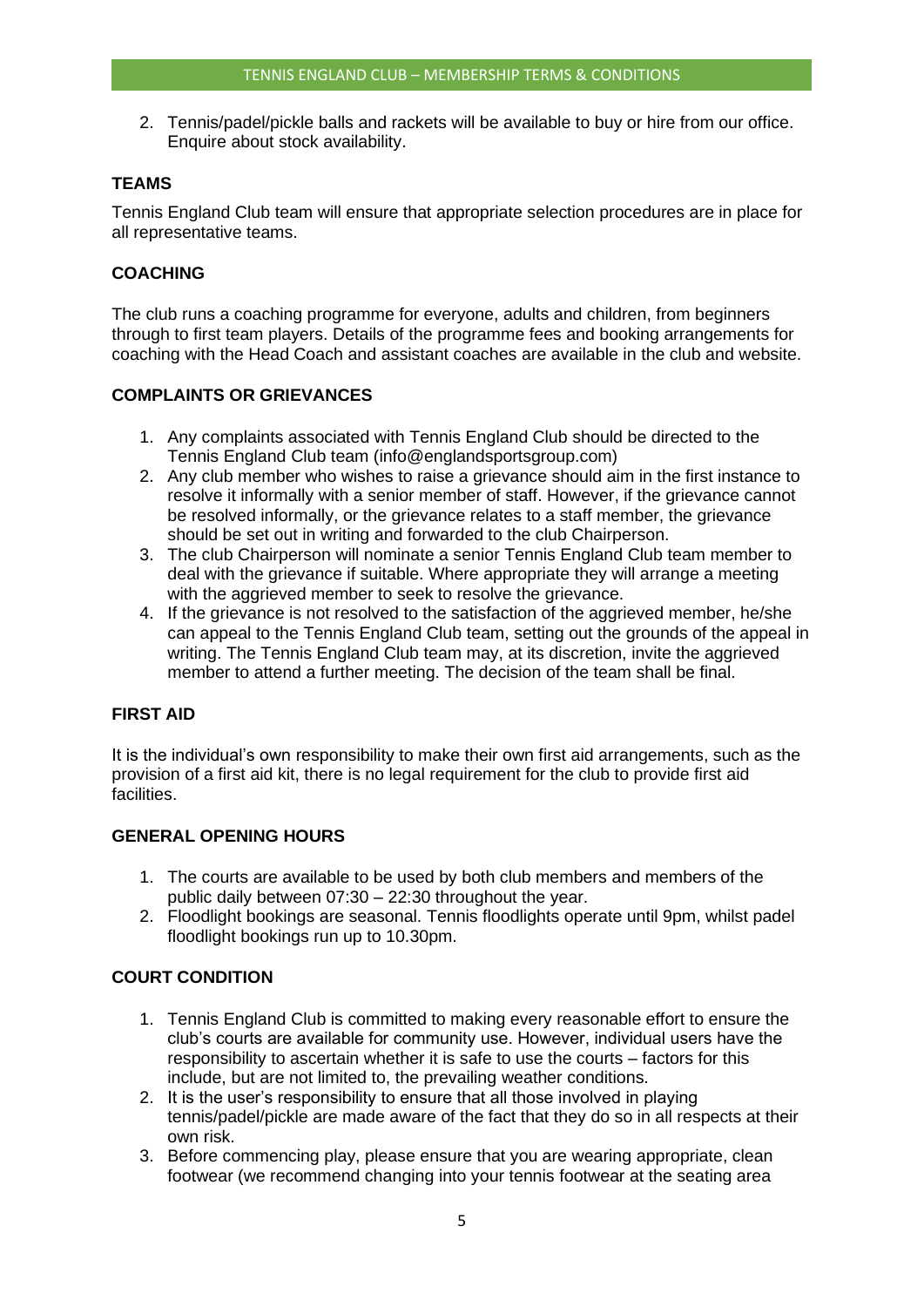2. Tennis/padel/pickle balls and rackets will be available to buy or hire from our office. Enquire about stock availability.

# **TEAMS**

Tennis England Club team will ensure that appropriate selection procedures are in place for all representative teams.

# **COACHING**

The club runs a coaching programme for everyone, adults and children, from beginners through to first team players. Details of the programme fees and booking arrangements for coaching with the Head Coach and assistant coaches are available in the club and website.

# **COMPLAINTS OR GRIEVANCES**

- 1. Any complaints associated with Tennis England Club should be directed to the Tennis England Club team (info@englandsportsgroup.com)
- 2. Any club member who wishes to raise a grievance should aim in the first instance to resolve it informally with a senior member of staff. However, if the grievance cannot be resolved informally, or the grievance relates to a staff member, the grievance should be set out in writing and forwarded to the club Chairperson.
- 3. The club Chairperson will nominate a senior Tennis England Club team member to deal with the grievance if suitable. Where appropriate they will arrange a meeting with the aggrieved member to seek to resolve the grievance.
- 4. If the grievance is not resolved to the satisfaction of the aggrieved member, he/she can appeal to the Tennis England Club team, setting out the grounds of the appeal in writing. The Tennis England Club team may, at its discretion, invite the aggrieved member to attend a further meeting. The decision of the team shall be final.

# **FIRST AID**

It is the individual's own responsibility to make their own first aid arrangements, such as the provision of a first aid kit, there is no legal requirement for the club to provide first aid facilities.

## **GENERAL OPENING HOURS**

- 1. The courts are available to be used by both club members and members of the public daily between 07:30 – 22:30 throughout the year.
- 2. Floodlight bookings are seasonal. Tennis floodlights operate until 9pm, whilst padel floodlight bookings run up to 10.30pm.

# **COURT CONDITION**

- 1. Tennis England Club is committed to making every reasonable effort to ensure the club's courts are available for community use. However, individual users have the responsibility to ascertain whether it is safe to use the courts – factors for this include, but are not limited to, the prevailing weather conditions.
- 2. It is the user's responsibility to ensure that all those involved in playing tennis/padel/pickle are made aware of the fact that they do so in all respects at their own risk.
- 3. Before commencing play, please ensure that you are wearing appropriate, clean footwear (we recommend changing into your tennis footwear at the seating area